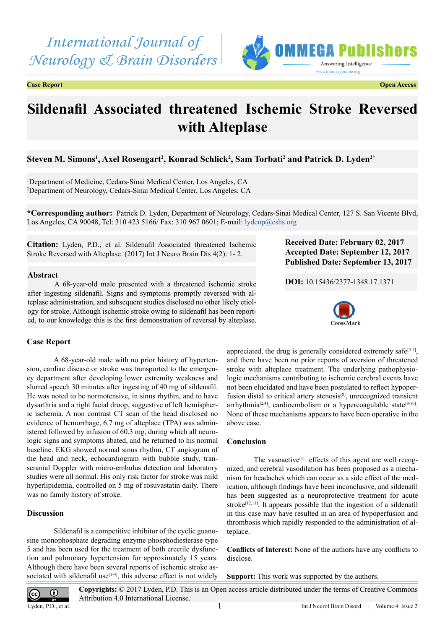*International Journal of Neurology & Brain Disorders*

**Case Report Open Access**



# **Sildenafil Associated threatened Ischemic Stroke Reversed with Alteplase**

# **Steven M. Simons1 , Axel Rosengart2 , Konrad Schlick2 , Sam Torbati2 and Patrick D. Lyden2\***

1 Department of Medicine, Cedars-Sinai Medical Center, Los Angeles, CA 2 Department of Neurology, Cedars-Sinai Medical Center, Los Angeles, CA

**\*Corresponding author:** Patrick D. Lyden, Department of Neurology, Cedars-Sinai Medical Center, 127 S. San Vicente Blvd, Los Angeles, CA 90048, Tel: 310 423 5166/ Fax: 310 967 0601; E-mail: [lydenp@cshs.org](mailto:lydenp@cshs.org)

**Citation:** Lyden, P.D., et al. Sildenafil Associated threatened Ischemic Stroke Reversed with Alteplase. (2017) Int J Neuro Brain Dis 4(2): 1- 2.

# **Abstract**

A 68-year-old male presented with a threatened ischemic stroke after ingesting sildenafil. Signs and symptoms promptly reversed with alteplase administration, and subsequent studies disclosed no other likely etiology for stroke. Although ischemic stroke owing to sildenafil has been reported, to our knowledge this is the first demonstration of reversal by alteplase.

# **Case Report**

A 68-year-old male with no prior history of hypertension, cardiac disease or stroke was transported to the emergency department after developing lower extremity weakness and slurred speech 30 minutes after ingesting of 40 mg of sildenafil. He was noted to be normotensive, in sinus rhythm, and to have dysarthria and a right facial droop, suggestive of left hemispheric ischemia. A non contrast CT scan of the head disclosed no evidence of hemorrhage, 6.7 mg of alteplace (TPA) was administered followed by infusion of 60.3 mg, during which all neurologic signs and symptoms abated, and he returned to his normal baseline. EKG showed normal sinus rhythm, CT angiogram of the head and neck, echocardiogram with bubble study, transcranial Doppler with micro-embolus detection and laboratory studies were all normal. His only risk factor for stroke was mild hyperlipidemia, controlled on 5 mg of rosuvastatin daily. There was no family history of stroke.

### **Discussion**

Sildenafil is a competitive inhibitor of the cyclic guanosine monophosphate degrading enzyme phosphodiesterase type 5 and has been used for the treatment of both erectile dysfunction and pulmonary hypertension for approximately 15 years. Although there have been several reports of ischemic stroke associated with sildenafil use $[1-4]$ , this adverse effect is not widely **Received Date: February 02, 2017 Accepted Date: September 12, 2017 Published Date: September 13, 2017**

**DOI:** [10.15436/2377-1348.17.](https://doi.org/10.15436/2377-1348.17.1371)1371



appreciated, the drug is generally considered extremely safe<sup>[5-7]</sup>, and there have been no prior reports of aversion of threatened stroke with alteplace treatment. The underlying pathophysiologic mechanisms contributing to ischemic cerebral events have not been elucidated and have been postulated to reflect hypoper-fusion distal to critical artery stenosis<sup>[\[8\]](#page-1-2)</sup>, unrecognized transient arrhythmia<sup>[\[2,4\]](#page-1-3)</sup>, cardioembolism or a hypercoagulable state<sup>[8-10]</sup>. None of these mechanisms appears to have been operative in the above case.

# **Conclusion**

The vasoactive<sup>[\[11\]](#page-1-4)</sup> effects of this agent are well recognized, and cerebral vasodilation has been proposed as a mechanism for headaches which can occur as a side effect of the medication, although findings have been inconclusive, and sildenafil has been suggested as a neuroprotective treatment for acute stroke<sup> $[12,13]$ </sup>. It appears possible that the ingestion of a sildenafil in this case may have resulted in an area of hypoperfusion and thrombosis which rapidly responded to the administration of alteplace.

**Conflicts of Interest:** None of the authors have any conflicts to disclose.

**Support:** This work was supported by the authors.



Int J Neurol Brain Disord | Volume 4: Issue 2 **Copyrights:** © 2017 Lyden, P.D. This is an Open access article distributed under the terms of Creative Commons Attribution 4.0 International License.